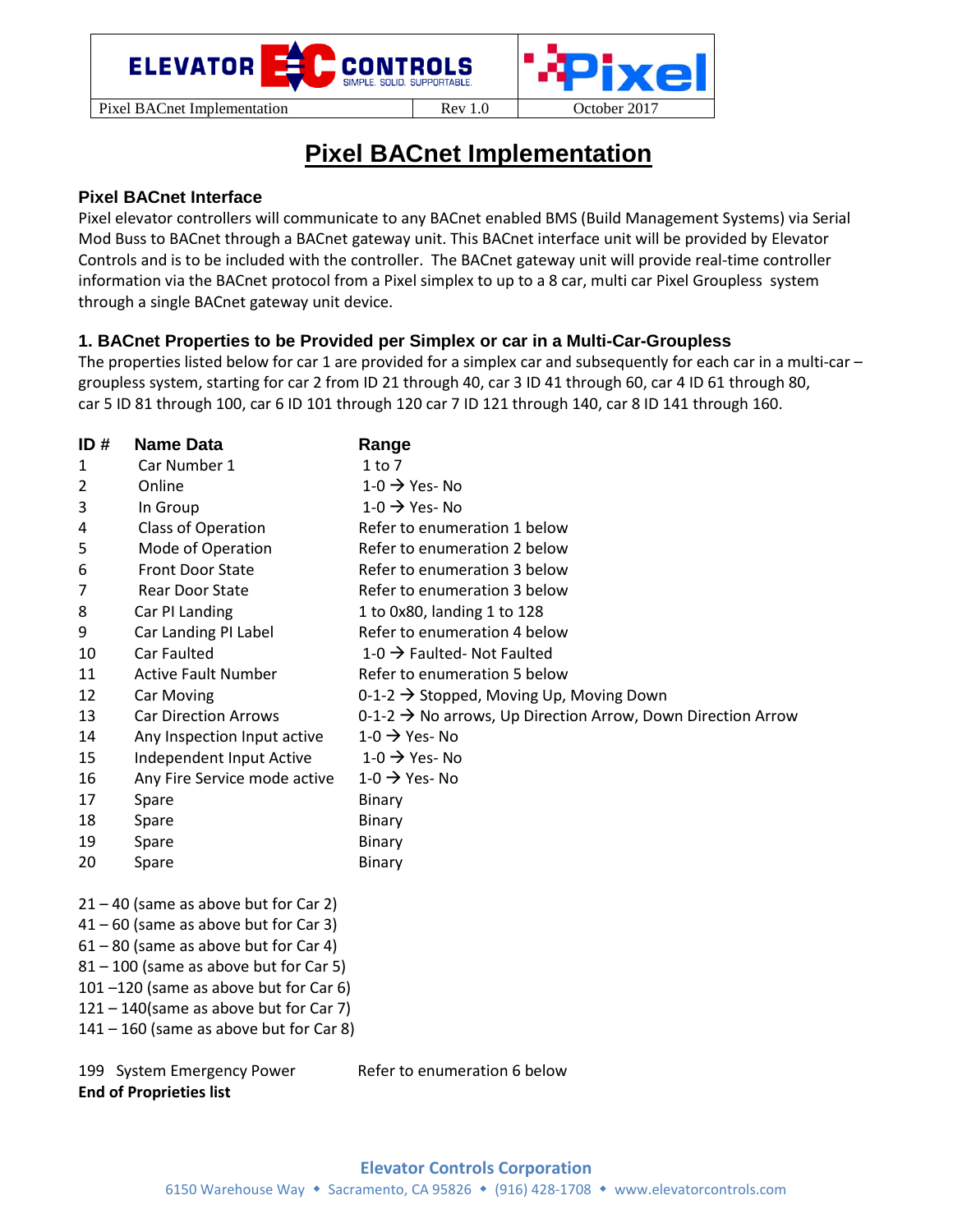

# **Pixel BACnet Implementation**

## **Pixel BACnet Interface**

Pixel elevator controllers will communicate to any BACnet enabled BMS (Build Management Systems) via Serial Mod Buss to BACnet through a BACnet gateway unit. This BACnet interface unit will be provided by Elevator Controls and is to be included with the controller. The BACnet gateway unit will provide real‐time controller information via the BACnet protocol from a Pixel simplex to up to a 8 car, multi car Pixel Groupless system through a single BACnet gateway unit device.

## **1. BACnet Properties to be Provided per Simplex or car in a Multi-Car-Groupless**

The properties listed below for car 1 are provided for a simplex car and subsequently for each car in a multi-car – groupless system, starting for car 2 from ID 21 through 40, car 3 ID 41 through 60, car 4 ID 61 through 80, car 5 ID 81 through 100, car 6 ID 101 through 120 car 7 ID 121 through 140, car 8 ID 141 through 160.

| ID#            | <b>Name Data</b>                        | Range                                                                   |
|----------------|-----------------------------------------|-------------------------------------------------------------------------|
| 1              | Car Number 1                            | $1$ to 7                                                                |
| $\overline{2}$ | Online                                  | $1-0 \rightarrow$ Yes-No                                                |
| 3              | In Group                                | $1-0 \rightarrow$ Yes-No                                                |
| 4              | Class of Operation                      | Refer to enumeration 1 below                                            |
| 5              | Mode of Operation                       | Refer to enumeration 2 below                                            |
| 6              | Front Door State                        | Refer to enumeration 3 below                                            |
| 7              | Rear Door State                         | Refer to enumeration 3 below                                            |
| 8              | Car PI Landing                          | 1 to 0x80, landing 1 to 128                                             |
| 9              | Car Landing PI Label                    | Refer to enumeration 4 below                                            |
| 10             | Car Faulted                             | 1-0 $\rightarrow$ Faulted- Not Faulted                                  |
| 11             | <b>Active Fault Number</b>              | Refer to enumeration 5 below                                            |
| 12             | Car Moving                              | 0-1-2 $\rightarrow$ Stopped, Moving Up, Moving Down                     |
| 13             | <b>Car Direction Arrows</b>             | 0-1-2 $\rightarrow$ No arrows, Up Direction Arrow, Down Direction Arrow |
| 14             | Any Inspection Input active             | $1-0 \rightarrow$ Yes-No                                                |
| 15             | Independent Input Active                | $1-0 \rightarrow$ Yes-No                                                |
| 16             | Any Fire Service mode active            | $1-0 \rightarrow$ Yes-No                                                |
| 17             | Spare                                   | Binary                                                                  |
| 18             | Spare                                   | Binary                                                                  |
| 19             | Spare                                   | Binary                                                                  |
| 20             | Spare                                   | Binary                                                                  |
|                | $21 - 40$ (same as above but for Car 2) |                                                                         |

 $41 - 60$  (same as above but for Car 3)

- 61 80 (same as above but for Car 4)
- 81 100 (same as above but for Car 5)
- 101 –120 (same as above but for Car 6)
- $121 140$ (same as above but for Car 7)

 $141 - 160$  (same as above but for Car 8)

199 System Emergency Power Refer to enumeration 6 below

**End of Proprieties list**